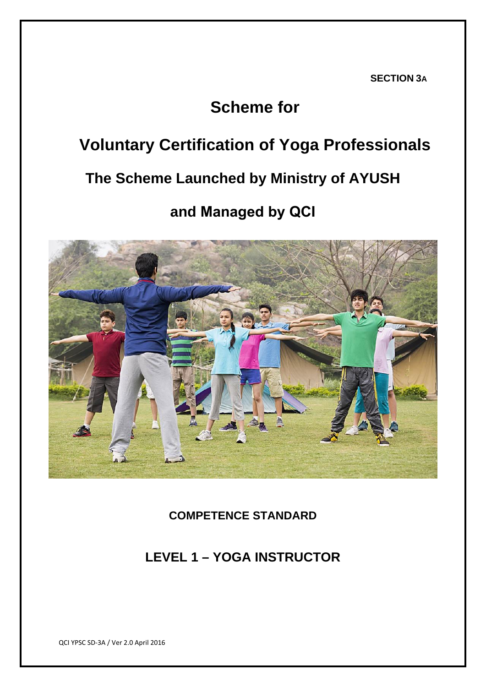**SECTION 3A**

## **Scheme for**

# **Voluntary Certification of Yoga Professionals**

## **The Scheme Launched by Ministry of AYUSH**

## **and Managed by QCI**



**COMPETENCE STANDARD** 

## **LEVEL 1 – YOGA INSTRUCTOR**

QCI YPSC SD‐3A / Ver 2.0 April 2016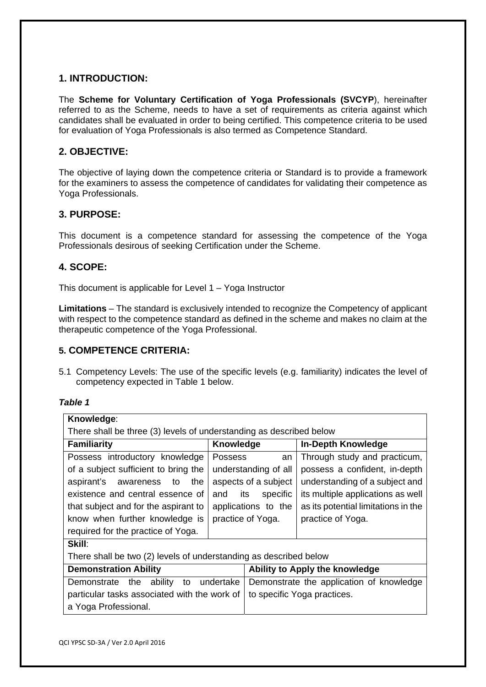## **1. INTRODUCTION:**

The **Scheme for Voluntary Certification of Yoga Professionals (SVCYP**), hereinafter referred to as the Scheme, needs to have a set of requirements as criteria against which candidates shall be evaluated in order to being certified. This competence criteria to be used for evaluation of Yoga Professionals is also termed as Competence Standard.

## **2. OBJECTIVE:**

The objective of laying down the competence criteria or Standard is to provide a framework for the examiners to assess the competence of candidates for validating their competence as Yoga Professionals.

### **3. PURPOSE:**

This document is a competence standard for assessing the competence of the Yoga Professionals desirous of seeking Certification under the Scheme.

### **4. SCOPE:**

This document is applicable for Level 1 – Yoga Instructor

**Limitations** – The standard is exclusively intended to recognize the Competency of applicant with respect to the competence standard as defined in the scheme and makes no claim at the therapeutic competence of the Yoga Professional.

### **5. COMPETENCE CRITERIA:**

5.1 Competency Levels: The use of the specific levels (e.g. familiarity) indicates the level of competency expected in Table 1 below.

#### *Table 1*

| Knowledge:                                                          |                      |                                          |                                     |  |  |
|---------------------------------------------------------------------|----------------------|------------------------------------------|-------------------------------------|--|--|
| There shall be three (3) levels of understanding as described below |                      |                                          |                                     |  |  |
| <b>Familiarity</b>                                                  | Knowledge            |                                          | <b>In-Depth Knowledge</b>           |  |  |
| Possess introductory knowledge                                      | <b>Possess</b>       | an                                       | Through study and practicum,        |  |  |
| of a subject sufficient to bring the                                | understanding of all |                                          | possess a confident, in-depth       |  |  |
| aspirant's awareness<br>to<br>the                                   | aspects of a subject |                                          | understanding of a subject and      |  |  |
| existence and central essence of                                    | and                  | its<br>specific                          | its multiple applications as well   |  |  |
| that subject and for the aspirant to                                | applications to the  |                                          | as its potential limitations in the |  |  |
| know when further knowledge is                                      | practice of Yoga.    |                                          | practice of Yoga.                   |  |  |
| required for the practice of Yoga.                                  |                      |                                          |                                     |  |  |
| Skill:                                                              |                      |                                          |                                     |  |  |
| There shall be two (2) levels of understanding as described below   |                      |                                          |                                     |  |  |
| <b>Demonstration Ability</b>                                        |                      |                                          | Ability to Apply the knowledge      |  |  |
| Demonstrate the<br>ability<br>undertake<br>to                       |                      | Demonstrate the application of knowledge |                                     |  |  |
| particular tasks associated with the work of                        |                      | to specific Yoga practices.              |                                     |  |  |
| a Yoga Professional.                                                |                      |                                          |                                     |  |  |
|                                                                     |                      |                                          |                                     |  |  |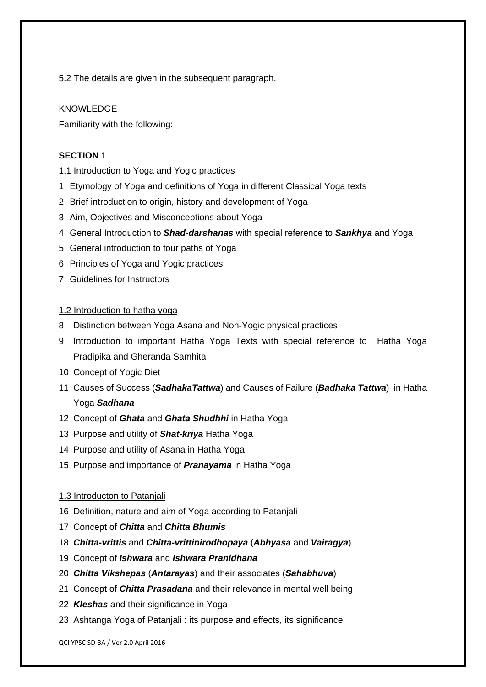5.2 The details are given in the subsequent paragraph.

#### KNOWLEDGE

Familiarity with the following:

#### **SECTION 1**

#### 1.1 Introduction to Yoga and Yogic practices

- 1 Etymology of Yoga and definitions of Yoga in different Classical Yoga texts
- 2 Brief introduction to origin, history and development of Yoga
- 3 Aim, Objectives and Misconceptions about Yoga
- 4 General Introduction to *Shad-darshanas* with special reference to *Sankhya* and Yoga
- 5 General introduction to four paths of Yoga
- 6 Principles of Yoga and Yogic practices
- 7 Guidelines for Instructors

#### 1.2 Introduction to hatha yoga

- 8 Distinction between Yoga Asana and Non-Yogic physical practices
- 9 Introduction to important Hatha Yoga Texts with special reference to Hatha Yoga Pradipika and Gheranda Samhita
- 10 Concept of Yogic Diet
- 11 Causes of Success (*SadhakaTattwa*) and Causes of Failure (*Badhaka Tattwa*) in Hatha Yoga *Sadhana*
- 12 Concept of *Ghata* and *Ghata Shudhhi* in Hatha Yoga
- 13 Purpose and utility of *Shat-kriya* Hatha Yoga
- 14 Purpose and utility of Asana in Hatha Yoga
- 15 Purpose and importance of *Pranayama* in Hatha Yoga
- 1.3 Introducton to Patanjali
- 16 Definition, nature and aim of Yoga according to Patanjali
- 17 Concept of *Chitta* and *Chitta Bhumis*
- 18 *Chitta-vrittis* and *Chitta-vrittinirodhopaya* (*Abhyasa* and *Vairagya*)
- 19 Concept of *Ishwara* and *Ishwara Pranidhana*
- 20 *Chitta Vikshepas* (*Antarayas*) and their associates (*Sahabhuva*)
- 21 Concept of *Chitta Prasadana* and their relevance in mental well being
- 22 *Kleshas* and their significance in Yoga
- 23 Ashtanga Yoga of Patanjali : its purpose and effects, its significance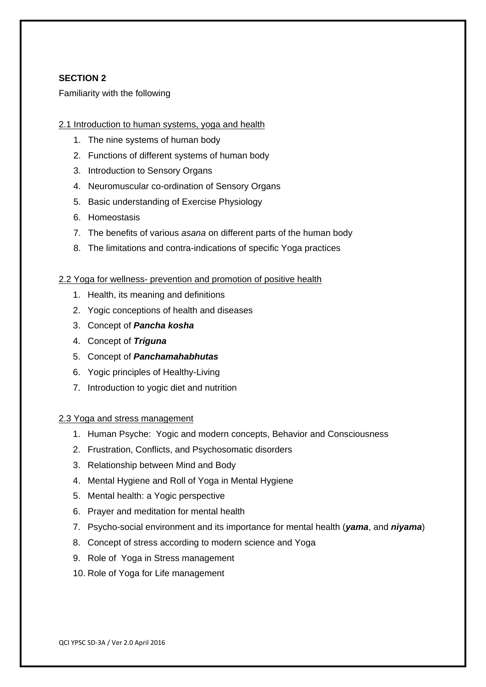#### **SECTION 2**

#### Familiarity with the following

#### 2.1 Introduction to human systems, yoga and health

- 1. The nine systems of human body
- 2. Functions of different systems of human body
- 3. Introduction to Sensory Organs
- 4. Neuromuscular co-ordination of Sensory Organs
- 5. Basic understanding of Exercise Physiology
- 6. Homeostasis
- 7. The benefits of various *asana* on different parts of the human body
- 8. The limitations and contra-indications of specific Yoga practices

#### 2.2 Yoga for wellness- prevention and promotion of positive health

- 1. Health, its meaning and definitions
- 2. Yogic conceptions of health and diseases
- 3. Concept of *Pancha kosha*
- 4. Concept of *Triguna*
- 5. Concept of *Panchamahabhutas*
- 6. Yogic principles of Healthy-Living
- 7. Introduction to yogic diet and nutrition

#### 2.3 Yoga and stress management

- 1. Human Psyche: Yogic and modern concepts, Behavior and Consciousness
- 2. Frustration, Conflicts, and Psychosomatic disorders
- 3. Relationship between Mind and Body
- 4. Mental Hygiene and Roll of Yoga in Mental Hygiene
- 5. Mental health: a Yogic perspective
- 6. Prayer and meditation for mental health
- 7. Psycho-social environment and its importance for mental health (*yama*, and *niyama*)
- 8. Concept of stress according to modern science and Yoga
- 9. Role of Yoga in Stress management
- 10. Role of Yoga for Life management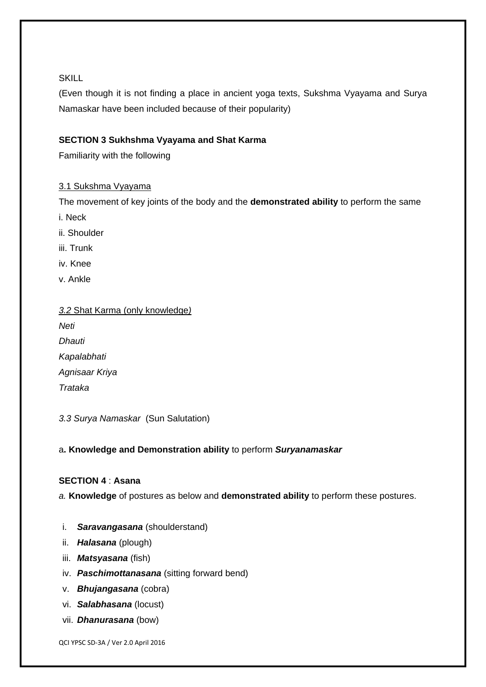#### **SKILL**

(Even though it is not finding a place in ancient yoga texts, Sukshma Vyayama and Surya Namaskar have been included because of their popularity)

## **SECTION 3 Sukhshma Vyayama and Shat Karma**

Familiarity with the following

#### 3.1 Sukshma Vyayama

The movement of key joints of the body and the **demonstrated ability** to perform the same

i. Neck

- ii. Shoulder
- iii. Trunk
- iv. Knee
- v. Ankle

| 3.2 Shat Karma (only knowledge) |
|---------------------------------|
| Neti                            |
| Dhauti                          |
| Kapalabhati                     |

*Agnisaar Kriya Trataka*

*3.3 Surya Namaskar* (Sun Salutation)

### a**. Knowledge and Demonstration ability** to perform *Suryanamaskar*

#### **SECTION 4** : **Asana**

*a.* **Knowledge** of postures as below and **demonstrated ability** to perform these postures.

- i. *Saravangasana* (shoulderstand)
- ii. *Halasana* (plough)
- iii. *Matsyasana* (fish)
- iv. *Paschimottanasana* (sitting forward bend)
- v. *Bhujangasana* (cobra)
- vi. *Salabhasana* (locust)
- vii. *Dhanurasana* (bow)

QCI YPSC SD‐3A / Ver 2.0 April 2016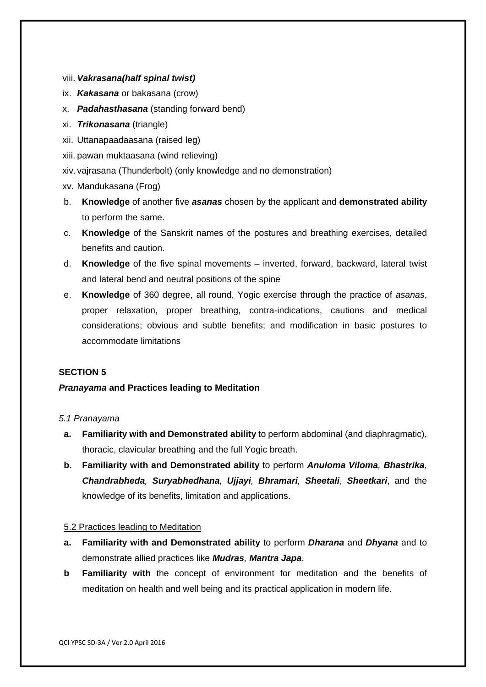- viii. *Vakrasana(half spinal twist)*
- ix. *Kakasana* or bakasana (crow)
- x. *Padahasthasana* (standing forward bend)
- xi. *Trikonasana* (triangle)
- xii. Uttanapaadaasana (raised leg)
- xiii. pawan muktaasana (wind relieving)
- xiv. vajrasana (Thunderbolt) (only knowledge and no demonstration)
- xv. Mandukasana (Frog)
- b. **Knowledge** of another five *asanas* chosen by the applicant and **demonstrated ability**  to perform the same.
- c. **Knowledge** of the Sanskrit names of the postures and breathing exercises, detailed benefits and caution.
- d. **Knowledge** of the five spinal movements inverted, forward, backward, lateral twist and lateral bend and neutral positions of the spine
- e. **Knowledge** of 360 degree, all round, Yogic exercise through the practice of *asanas*, proper relaxation, proper breathing, contra-indications, cautions and medical considerations; obvious and subtle benefits; and modification in basic postures to accommodate limitations

#### **SECTION 5**

#### *Pranayama* **and Practices leading to Meditation**

#### *5.1 Pranayama*

- **a. Familiarity with and Demonstrated ability** to perform abdominal (and diaphragmatic), thoracic, clavicular breathing and the full Yogic breath.
- **b. Familiarity with and Demonstrated ability** to perform *Anuloma Viloma, Bhastrika, Chandrabheda, Suryabhedhana, Ujjayi, Bhramari, Sheetali*, *Sheetkari*, and the knowledge of its benefits, limitation and applications.

#### 5.2 Practices leading to Meditation

- **a. Familiarity with and Demonstrated ability** to perform *Dharana* and *Dhyana* and to demonstrate allied practices like *Mudras, Mantra Japa*.
- **b Familiarity with** the concept of environment for meditation and the benefits of meditation on health and well being and its practical application in modern life.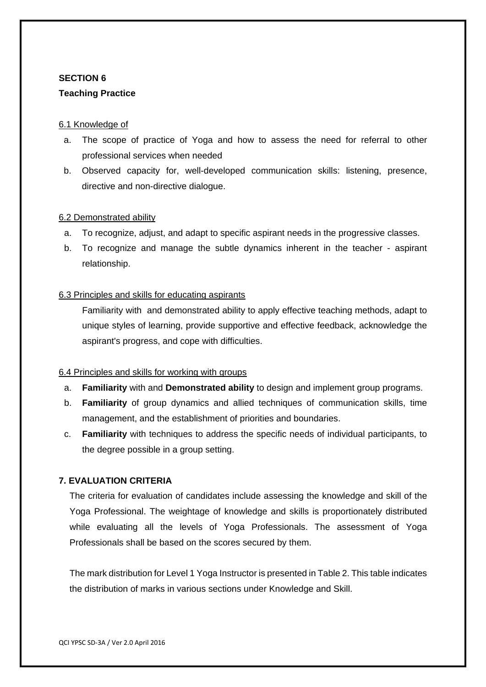## **SECTION 6 Teaching Practice**

#### 6.1 Knowledge of

- a. The scope of practice of Yoga and how to assess the need for referral to other professional services when needed
- b. Observed capacity for, well-developed communication skills: listening, presence, directive and non-directive dialogue.

#### 6.2 Demonstrated ability

- a. To recognize, adjust, and adapt to specific aspirant needs in the progressive classes.
- b. To recognize and manage the subtle dynamics inherent in the teacher aspirant relationship.

#### 6.3 Principles and skills for educating aspirants

Familiarity with and demonstrated ability to apply effective teaching methods, adapt to unique styles of learning, provide supportive and effective feedback, acknowledge the aspirant's progress, and cope with difficulties.

#### 6.4 Principles and skills for working with groups

- a. **Familiarity** with and **Demonstrated ability** to design and implement group programs.
- b. **Familiarity** of group dynamics and allied techniques of communication skills, time management, and the establishment of priorities and boundaries.
- c. **Familiarity** with techniques to address the specific needs of individual participants, to the degree possible in a group setting.

#### **7. EVALUATION CRITERIA**

The criteria for evaluation of candidates include assessing the knowledge and skill of the Yoga Professional. The weightage of knowledge and skills is proportionately distributed while evaluating all the levels of Yoga Professionals. The assessment of Yoga Professionals shall be based on the scores secured by them.

The mark distribution for Level 1 Yoga Instructor is presented in Table 2. This table indicates the distribution of marks in various sections under Knowledge and Skill.